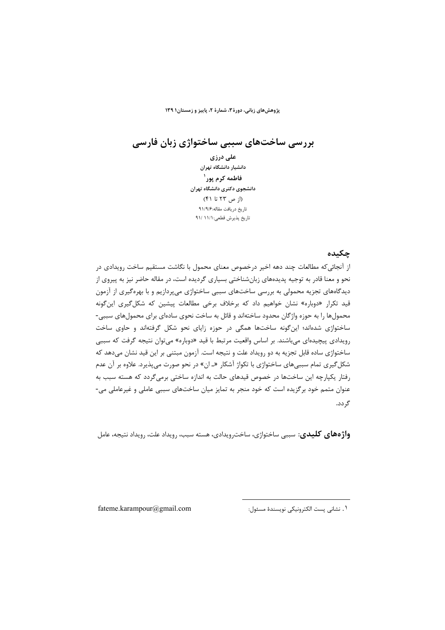پژوهش های زبانی، دورهٔ ۳، شمارهٔ ۲، پاییز و زمستان۱۳۹

بررسی ساختهای سببی ساختواژی زبان فارسی

على درزى دانشیار دانشگاه تهران فاطمه کړم یور` دانشجوي دكترى دانشگاه تهران (از ص ۲۳ تا ۴۱) تاریخ دریافت مقاله:۹۱/۹/۶ تاريخ پذيرش قطعي: ٩١/ ٩١/

## چکىدە

از آنجائیکه مطالعات چند دهه اخیر درخصوص معنای محمول با نگاشت مستقیم ساخت رویدادی در نحو و معنا قادر به توجیه پدیدههای زبانشناختی بسیاری گردیده است، در مقاله حاضر نیز به پیروی از دیدگاههای تجزیه محمولی به بررسی ساختهای سببی ساختواژی میپردازیم و با بهرهگیری از آزمون قید تکرار «دوباره» نشان خواهیم داد که برخلاف برخی مطالعات پیشین که شکل *گ*یری این *گ*ونه محمولها را به حوزه واژگان محدود ساختهاند و قائل به ساخت نحوی سادهای برای محمولهای سببی-ساختواژی شدهاند؛ این گونه ساختها همگی در حوزه زایای نحو شکل گرفتهاند و حاوی ساخت رویدادی پیچیدهای می باشند. بر اساس واقعیت مرتبط با قید «دوباره» می توان نتیجه گرفت که سببی ساختواژی ساده قابل تجزیه به دو رویداد علت و نتیجه است. آزمون مبتنی بر این قید نشان میدهد که شکل گیری تمام سببیهای ساختواژی با تکواژ آشکار «ـ ان» در نحو صورت می پذیرد. علاوه بر آن عدم رفتار یکپارچه این ساختها در خصوص قیدهای حالت به اندازه ساختی برمیگردد که هسته سبب به عنوان متمم خود برگزیده است که خود منجر به تمایز میان ساختهای سببی عاملی و غیرعاملی می-گردد.

**واژههای کلیدی**: سببی ساختواژی، ساخت ویدادی، هسته سبب، رویداد علت، رویداد نتیجه، عامل

fateme.karampour@gmail.com

١. نشاني پست الكترونيكي نويسندهٔ مسئول: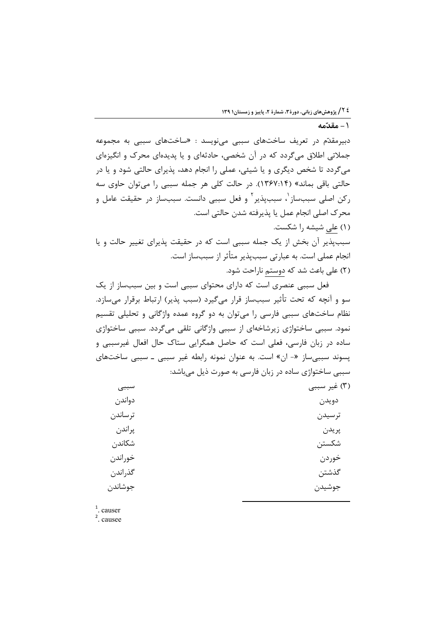ا – مقدّمه $\mathbf{r}$ 

دبیرمقدّم در تعریف ساختهای سببی میiویسد : «ساختهای سببی به مجموعه جملاتی اطلاق میگردد که در آن شخصی، حادثهای و یا پدیدهای محرک و انگیزهای میگردد تا شخص دیگری و یا شیئی، عملی را انجام دهد، پذیرای حالتی شود و یا در حالتي باقي بماند» (١٣٤٧:١۴). در حالت كلي هر جمله سببي را مي توان حاوي سه ركن اصلى سببساز<sup>י</sup>، سببپذير<sup>۲</sup> و فعل سببي دانست. سببساز در حقيقت عامل و محرک اصلی انجام عمل یا پذیرفته شدن حالتی است. (۱) على شيشه را شكست. سببپذیر آن بخش از یک جمله سببی است که در حقیقت پذیرای تغییر حالت و یا انجام عملی است. به عبارتی سببپذیر متأثر از سببساز است.

(۲) علی باعث شد که دوستم ناراحت شود.

فعل سببی عنصری است که دارای محتوای سببی است و بین سببساز از یک سو و آنچه که تحت تأثیر سببساز قرار میگیرد (سبب پذیر) ارتباط برقرار میسازد. نظام ساختهای سببی فارسی را میتوان به دو گروه عمده واژگانی و تحلیلی تقسیم نمود. سببی ساختواژی زیرشاخهای از سببی واژگانی تلقی میگردد. سببی ساختواژی ساده در زبان فارسی، فعلی است که حاصل همگرایی ستاک حال افعال غیرسببی و پسوند سببیساز «- ان» است. به عنوان نمونه رابطه غیر سببی ـ سببی ساختهای سببی ساختواژی ساده در زبان فارسی به صورت ذیل میباشد:

| سببي    | (٣) غير سببي |
|---------|--------------|
| دواندن  | دويدن        |
| ترساندن | ترسيدن       |
| پراندن  | پريدن        |
| شكاندن  | شكستن        |
| خوراندن | خوردن        |
| گذراندن | گذشتن        |
| جوشاندن | جوشيدن       |
|         |              |

 $<sup>1</sup>$ . causer</sup>

 $2$  causee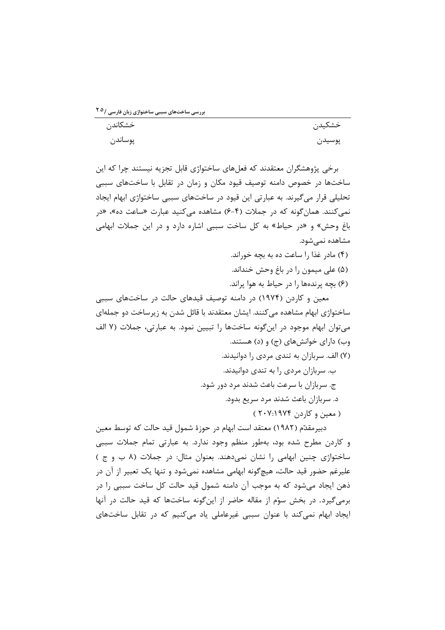بررسی ساختهای سببی ساختواژی زبان فارسی /<sup>۲ ٥</sup>

| خشكاندن | خشكيدن |
|---------|--------|
| پوساندن | پوسيدن |

برخی پژوهشگران معتقدند که فعلهای ساختواژی قابل تجزیه نیستند چرا که این ساختها در خصوص دامنه توصیف قیود مکان و زمان در تقابل با ساختهای سببی تحلیلی قرار می گیرند. به عبارتی این قیود در ساختهای سببی ساختواژی ابهام ایجاد نمی کنند. همان گونه که در جملات (۴-۶) مشاهده می کنید عبارت «ساعت ده»، «در باغ وحش» و «در حیاط» به کل ساخت سببی اشاره دارد و در این جملات ابهامی مشاهده نمی شود.

- (۴) مادر غذا را ساعت ده به بچه خوراند.
- (۵) علي ميمون را در باغ وحش خنداند. (۶) بچه پرندهها را در حیاط به هوا پراند.

معین و کاردن (۱۹۷۴) در دامنه توصیف قیدهای حالت در ساختهای سببی ساختواژی ابهام مشاهده می کنند. ایشان معتقدند با قائل شدن به زیرساخت دو جملهای می توان ابهام موجود در این گونه ساختها را تبیین نمود. به عبارتی، جملات (۷ الف وب) دارای خوانش های (ج) و (د) هستند.

> (۷) الف. سربازان به تندی مردی را دوانیدند. ب. سربازان مردی را به تندی دوانیدند. ج. سربازان با سرعت باعث شدند مرد دور شود. د. سربازان باعث شدند مرد سریع بدود.

> > ( معين و کاردن ۲۰۷:۱۹۷۴)

دبیرمقدّم (۱۹۸۲) معتقد است ابهام در حوزهٔ شمول قید حالت که توسط معین و کاردن مطرح شده بود، بهطور منظم وجود ندارد. به عبارتی تمام جملات سببی ساختواژی چنین ابهامی را نشان نمی دهند. بعنوان مثال: در جملات (۸ ب و ج) علیرغم حضور قید حالت، هیچگونه ابهامی مشاهده نمی شود و تنها یک تعبیر از آن در ذهن ایجاد میشود که به موجب آن دامنه شمول قید حالت کل ساخت سببی را در برمي گيرد. در بخش سوّم از مقاله حاضر از اين گونه ساختها كه قيد حالت در آنها ایجاد ابهام نمی کند با عنوان سببی غیرعاملی یاد می کنیم که در تقابل ساختهای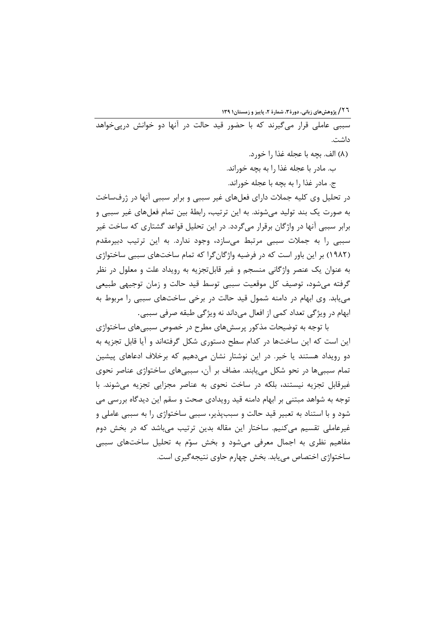**۱**۳۹ گروهشهای زبانی، دورهٔ ۳، شمارهٔ ۲، پاییز و زمستان۱ ۱۳۹

سببی عاملی قرار میگیرند که با حضور قید حالت در آنها دو خوانش درپیخواهد داشت.

(٨) الف. بجه با عجله غذا ,ا خو, د.

ب. مادر با عجله غذا را به بچه خوراند.

ج. مادر غذا را به بچه با عجله خوراند.

در تحلیل وی کلیه جملات دارای فعلهای غیر سببی و برابر سببی آنها در ژرفساخت به صورت یک بند تولید میشوند. به این ترتیب، رابطهٔ بین تمام فعلهای غیر سببی و برابر سببی آنها در واژگان برقرار میگردد. در این تحلیل قواعد گشتاری که ساخت غیر سببی را به جملات سببی مرتبط میسازد، وجود ندارد. به این ترتیب دبیرمقدم (۱۹۸۲) بر این باور است که در فرضیه واژگانگرا که تمام ساختهای سببی ساختواژی به عنوان یک عنصر واژگانی منسجم و غیر قابلتجزیه به رویداد علت و معلول در نظر گرفته می شود، توصیف کل موقعیت سببی توسط قید حالت و زمان توجیهی طبیعی می یابد. وی ابهام در دامنه شمول قید حالت در برخی ساختهای سببی را مربوط به ابهام در ویژگی تعداد کمی از افعال میداند نه ویژگی طبقه صرفی سببی.

با توجه به توضیحات مذکور پرسشهای مطرح در خصوص سببیهای ساختواژی این است که این ساختها در کدام سطح دستوری شکل گرفتهاند و آیا قابل تجزیه به دو رویداد هستند یا خیر. در این نوشتار نشان میدهیم که برخلاف ادعاهای پیشین تمام سببیها در نحو شکل می یابند. مضاف بر آن، سببیهای ساختواژی عناصر نحوی غیرقابل تجزیه نیستند، بلکه در ساخت نحوی به عناصر مجزایی تجزیه می شوند. با توجه به شواهد مبتنی بر ابهام دامنه قید رویدادی صحت و سقم این دیدگاه بررسی می شود و با استناد به تعبیر قید حالت و سببیذیر، سببی ساختواژی را به سببی عاملی و غیرعاملی تقسیم میکنیم. ساختار این مقاله بدین ترتیب میباشد که در بخش دوم مفاهیم نظری به اجمال معرفی میشود و بخش سوّم به تحلیل ساختهای سببی ساختواژی اختصاص می یابد. بخش چهارم حاوی نتیجه گیری است.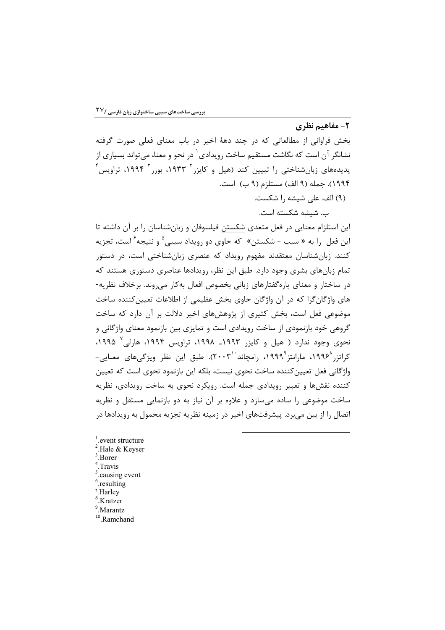## ٢- مفاهيم نظري

بخش فراوانی از مطالعاتی که در چند دههٔ اخیر در باب معنای فعلی صورت گرفته نشانگر آن است که نگاشت مستقیم ساخت رویدادی <sup>۱</sup> در نحو و معنا، میتواند بسیاری از  $^\mathfrak{f}$ یدیدههای زبان،شناختی را تبیین کند (هیل و کایزر ۱۹۳۳، بورر ۱۹۹۴، تراویس ١٩٩۴). جمله (٩ الف) مستلزم (٩ ب) است.

(۹) الف. على شيشه را شكست.

ب. شىشە شكستە است.

این استلزام معنایی در فعل متعدی شکستن فیلسوفان و زبانشناسان را بر آن داشته تا این فعل ۱٫ به « سبب + شکستن» که حاوی دو رویداد سببی<sup>۵</sup> و نتیجه<sup>۶</sup> است، تجزیه کنند. زبانشناسان معتقدند مفهوم رویداد که عنصری زبانشناختی است، در دستور تمام زبانهای بشری وجود دارد. طبق این نظر، رویدادها عناصری دستوری هستند که در ساختار و معنای پاره گفتارهای زبانی بخصوص افعال به کار می روند. برخلاف نظریه-های واژگانگرا که در آن واژگان حاوی بخش عظیمی از اطلاعات تعیین کننده ساخت موضوعی فعل است، بخش کثیری از پژوهشهای اخیر دلالت بر آن دارد که ساخت گروهی خود بازنمودی از ساخت رویدادی است و تمایزی بین بازنمود معنای واژگانی و نحوی وجود ندارد ( هیل و کایزر ۱۹۹۳ـ ۱۹۹۸، تراویس ۱۹۹۴، هارلی<sup>۷</sup> ۱۹۹۵، کراتزر ۱۹۹۶<sup>۸</sup>، مارانتز ۱۹۹۹<sup>۹</sup>، رامچاند ۲۰۰۳<sup>)</sup>. طبق این نظر ویژگیهای معنایی-واژگانی فعل تعیین کننده ساخت نحوی نیست، بلکه این بازنمود نحوی است که تعیین کننده نقشها و تعبیر رویدادی جمله است. رویکرد نحوی به ساخت رویدادی، نظریه ساخت موضوعی را ساده مے سازد و علاوه بر آن نیاز به دو بازنمایی مستقل و نظریه اتصال را از بين مي برد. پيشرفتهاي اخير در زمينه نظريه تجزيه محمول به رويدادها در

<sup>1</sup>.event structure <sup>2</sup>.Hale & Keyser  $3.$ Borer Travis causing event. <sup>5</sup>.resulting 7.Harley **Kratzer** <sup>9</sup>.Marantz <sup>10</sup>.Ramchand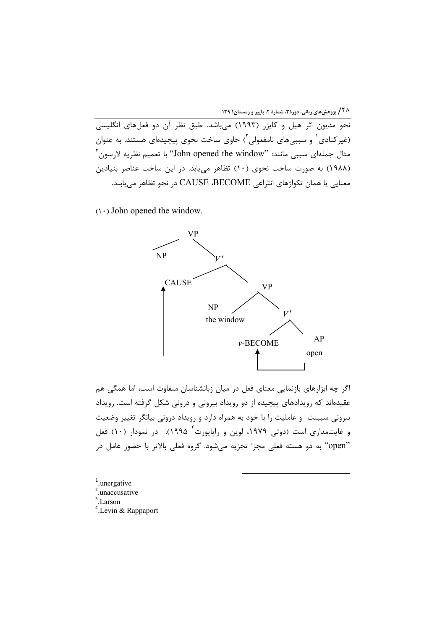.<br>نحو مدیون اثر هیل و کایزر (۱۹۹۳) می!شد. طبق نظر آن دو فعلهای انگلیسی (غیرکنادی<sup>۱</sup> و سببیهای نامفعولی<sup>۲</sup>) حاوی ساخت نحوی پیچیدهای هستند. به عنوان مثال جملهای سببی مانند: ''John opened the window'' با تعمیم نظریه لارسون ِ'' (۱۹۸۸) به صورت ساخت نحوی (۱۰) تظاهر می یابد. در این ساخت عناصر بنیادین معنايي يا همان تكواژهاي انتزاعي CAUSE ،BECOME در نحو تظاهر مييابند.

 $(1 \cdot)$  John opened the window.



اگر چه ابزارهای بازنمایی معنای فعل در میان زبانشناسان متفاوت است، اما همگی هم عقیدهاند که رویدادهای پیچیده از دو رویداد بیرونی و درونی شکل گرفته است. رویداد بیرونی سببیت و عاملیت را با خود به همراه دارد و رویداد درونی بیانگر تغییر وضعیت و غایتمداری است (دوتی ۱۹۷۹، لوین و راپاپورت<sup>۴</sup> ۱۹۹۵). در نمودار (۱۰) فعل "open" به دو هسته فعلی مجزا تجزیه می شود. گروه فعلی بالاتر با حضور عامل در

 $1$ .unergative  $2$ , unaccusative  $3$ . Larson <sup>4</sup>. Levin & Rappaport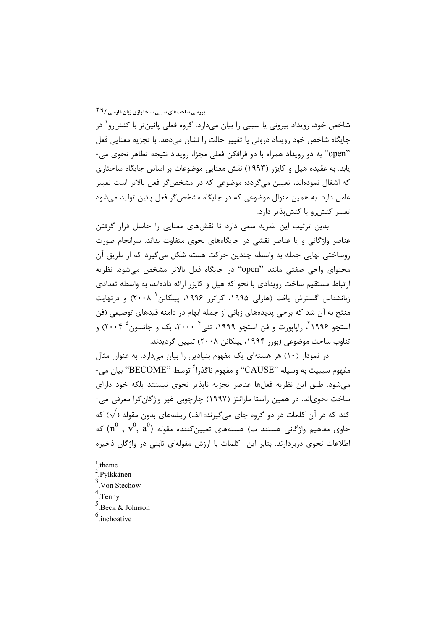۔<br>شاخص خود، رویداد بیرونی یا سببی را بیان مے،دارد. گروہ فعلی پائین تر با کنش و<sup>\</sup> در جايگاه شاخص خود رويداد دروني يا تغيير حالت را نشان مي٥هد. با تجزيه معنايي فعل "open" به دو رویداد همراه با دو فرافکن فعلی مجزا، رویداد نتیجه تظاهر نحوی می-یابد. به عقیده هیل و کایزر (۱۹۹۳) نقش معنایی موضوعات بر اساس جایگاه ساختاری که اشغال نمودهاند، تعیین میگردد: موضوعی که در مشخصگر فعل بالاتر است تعبیر عامل دارد. به همین منوال موضوعی که در جایگاه مشخص گر فعل پائین تولید می شود تعبير كنش, ويا كنش يذير دارد.

بدین ترتیب این نظریه سعی دارد تا نقشهای معنایی را حاصل قرار گرفتن عناصر واژگانی و یا عناصر نقشی در جایگاههای نحوی متفاوت بداند. سرانجام صورت روساختی نهایی جمله به واسطه چندین حرکت هسته شکل میگیرد که از طریق آن محتواي واجي صفتي مانند "open" در جايگاه فعل بالاتر مشخص مي شود. نظريه ارتباط مستقیم ساخت رویدادی با نحو که هیل و کایزر ارائه دادهاند، به واسطه تعدادی زبانشناس گسترش یافت (هارلی ۱۹۹۵، کراتزر ۱۹۹۶، پیلکانن<sup>۲</sup> ۲۰۰۸) و درنهایت منتج به آن شد که برخی پدیدههای زبانی از جمله ابهام در دامنه قیدهای توصیفی (فن استچو ۱۹۹۶، رایایورت و فن استچو ۱۹۹۹، تنی ۲۰۰۰، بک و جانسون ۲۰۰۴) و تناوب ساخت موضوعي (بورر ۱۹۹۴، پيلکانن ۲۰۰۸) تبيين گرديدند.

در نمودار (۱۰) هر هستهای یک مفهوم بنیادین را بیان میدارد، به عنوان مثال مفهوم سببيت به وسيله "CAUSE" و مفهوم ناگذرا<sup>۶</sup> توسط "BECOME" بيان مي-می شود. طبق این نظریه فعلها عناصر تجزیه ناپذیر نحوی نیستند بلکه خود دارای ساخت نحویاند. در همین راستا مارانتز (۱۹۹۷) چارچوبی غیر واژگانگرا معرفی می-کند که در آن کلمات در دو گروه جای میگیرند: الف) ریشههای بدون مقوله ( $\sqrt{}$ ) که حاوی مفاهیم واژگانی هستند ب) هستههای تعیینکننده مقوله  $({\rm n}^0 \; , \; {\rm v}^0, \; {\rm a}^0)$  که اطلاعات نحوی دربردارند. بنابر این کلمات با ارزش مقولهای ثابتی در واژگان ذخیره

 $1$  theme

- $2.$ Pylkkänen
- $3$ . Von Stechow

 $4$  Tenny

 $5$ . Beck & Johnson

 $6$ .inchoative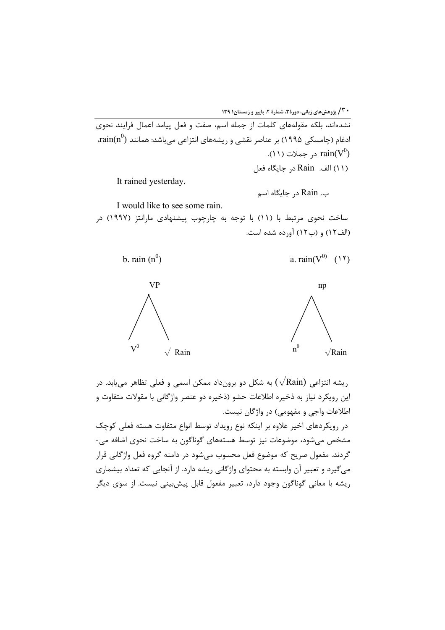

I would like to see some rain. ساخت نحوی مرتبط با (۱۱) با توجه به چارچوب پیشنهادی مارانتز (۱۹۹۷) در (الف١٢) و (ب١٢) آورده شده است.



ریشه انتزاعی (Rain) به شکل دو برونداد ممکن اسمی و فعلی تظاهر مییابد. در این رویکرد نیاز به ذخیره اطلاعات حشو (ذخیره دو عنصر واژگانی با مقولات متفاوت و اطلاعات واجی و مفهومی) در واژگان نیست.

در رویکردهای اخیر علاوه بر اینکه نوع رویداد توسط انواع متفاوت هسته فعلی کوچک مشخص می شود، موضوعات نیز توسط هستههای گوناگون به ساخت نحوی اضافه می-گردند. مفعول صریح که موضوع فعل محسوب می شود در دامنه گروه فعل واژگانی قرار می گیرد و تعبیر آن وابسته به محتوای واژگانی ریشه دارد. از آنجایی که تعداد بیشماری ریشه با معانی گوناگون وجود دارد، تعبیر مفعول قابل پیش،بینی نیست. از سوی دیگر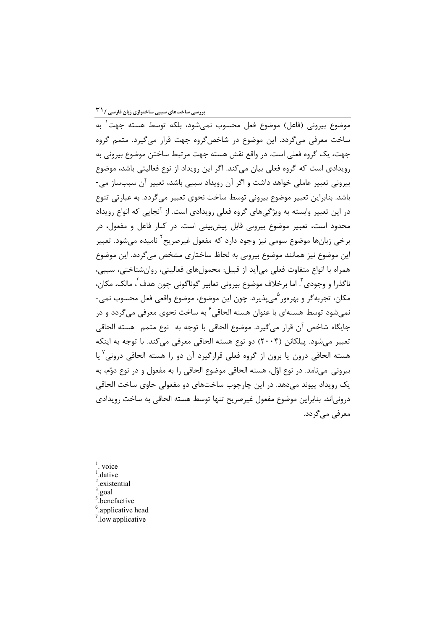۔<br>موضوع بیرونی (فاعل) موضوع فعل محسوب نمے شود، بلکه توسط هسته جهت به ساخت معرفی می گردد. این موضوع در شاخص گروه جهت قرار می گیرد. متمم گروه جهت، یک گروه فعلی است. در واقع نقش هسته جهت مرتبط ساختن موضوع بیرونی به رویدادی است که گروه فعلی بیان می کند. اگر این رویداد از نوع فعالیتی باشد، موضوع بیرونی تعبیر عاملی خواهد داشت و اگر آن رویداد سببی باشد، تعبیر آن سببساز می-باشد. بنابراین تعبیر موضوع بیرونی توسط ساخت نحوی تعبیر میگردد. به عبارتی تنوع در این تعبیر وابسته به ویژگیهای گروه فعلی رویدادی است. از آنجایی که انواع رویداد محدود است، تعبیر موضوع بیرونی قابل پیش بینی است. در کنار فاعل و مفعول، در برخي زبانها موضوع سومي نيز وجود دارد كه مفعول غيرصريح<sup>1</sup> ناميده مي شود. تعبير این موضوع نیز همانند موضوع بیرونی به لحاظ ساختاری مشخص میگردد. این موضوع همراه با انواع متفاوت فعلي مي آيد از قبيل: محمولهاي فعاليتي، روانشناختي، سببي، ناگذرا و وجودي ؒ اما برخلاف موضوع بيروني تعابير گوناگوني چون هدف ٗ، مالک، مکان، مکان، تجربه گر و بهرهور <sup>ه</sup>ي پذيرد. چون اين موضوع، موضوع واقعي فعل محسوب نمي-نمے شود توسط هستهای با عنوان هسته الحاقے <sup>۶</sup> به ساخت نحوی معرفی مے گردد و در جايگاه شاخص آن قرار مي گيرد. موضوع الحاقي با توجه به نوع متمم هسته الحاقي تعبير مي شود. پيلکانن (٢٠٠۴) دو نوع هسته الحاقي معرفي مي کند. با توجه به اينکه هسته الحاقي درون يا برون از گروه فعلي قرارگيرد آن دو را هسته الحاقي دروني ٌ يا بيروني ميiامد. در نوع اوّل، هسته الحاقي موضوع الحاقي را به مفعول و در نوع دوّم، به یک رویداد پیوند میدهد. در این چارچوب ساختهای دو مفعولی حاوی ساخت الحاقی درونی|ند. بنابراین موضوع مفعول غیرصریح تنها توسط هسته الحاقی به ساخت رویدادی معرفے مے گردد.

 $1$ . voice dative. existential .goal <sup>5</sup>.benefactive

- <sup>6</sup>.applicative head
- $7.1$  low applicative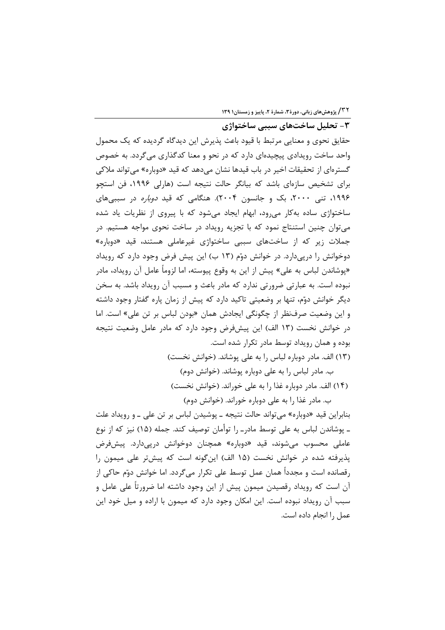**۱۳۲ / پژوهشهای زبانی، دورهٔ ۳، شمارهٔ ۲، پاییز و زمستان۱۳۹** 

۳- تحلیل ساختهای سببی ساختواژی حقایق نحوی و معنایی مرتبط با قیود باعث پذیرش این دیدگاه گردیده که یک محمول واحد ساخت رویدادی پیچیدهای دارد که در نحو و معنا کدگذاری میگردد. به خصوص گسترهای از تحقیقات اخیر در باب قیدها نشان میدهد که قید «دوباره» می تواند ملاکی برای تشخیص سازهای باشد که بیانگر حالت نتیجه است (هارلی ۱۹۹۶، فن استچو ۱۹۹۶، تنی ۲۰۰۰، بک و جانسون ۲۰۰۴). هنگامی که قید *دوباره* در سببیهای ساختواژی ساده بهکار میرود، ابهام ایجاد میشود که با پیروی از نظریات یاد شده میتوان چنین استنتاج نمود که با تجزیه رویداد در ساخت نحوی مواجه هستیم. در جملات زیر که از ساختهای سببی ساختواژی غیرعاملی هستند، قید «دوباره» دوخوانش را درپیدارد. در خوانش دوّم (۱۳ ب) این پیش فرض وجود دارد که رویداد «يوشاندن لباس به علي» پيش از اين به وقوع پيوسته، اما لزوماً عامل آن رويداد، مادر نبوده است. به عبارتی ضرورتی ندارد که مادر باعث و مسبب آن رویداد باشد. به سخن دیگر خوانش دوّم، تنها بر وضعیتی تاکید دارد که پیش از زمان پاره گفتار وجود داشته و این وضعیت صرف نظر از چگونگی ایجادش همان «بودن لباس بر تن علی» است. اما در خوانش نخست (١٣ الف) اين پيشفرض وجود دارد كه مادر عامل وضعيت نتيجه بوده و همان رویداد توسط مادر تکرار شده است.

(١٣) الف. مادر دوباره لباس را به على يوشاند. (خوانش نخست)

ب. مادر لباس را به علی دوباره پوشاند. (خوانش دوم) (١۴) الف. مادر دوباره غذا را به على خوراند. (خوانش نخست)

ب. مادر غذا را به علی دوباره خوراند. (خوانش دوم) بنابراین قید «دوباره» می تواند حالت نتیجه ـ پوشیدن لباس بر تن علی ـ و رویداد علت

ـ يوشاندن لباس به على توسط مادر ـ را توأمان توصيف كند. جمله (١۵) نيز كه از نوع عاملی محسوب میشوند، قید «دوباره» همچنان دوخوانش درپیدارد. پیشفرض يذيرفته شده در خوانش نخست (١۵ الف) اين گونه است كه پيشتر على ميمون را رقصانده است و مجدداً همان عمل توسط على تكرار مي گردد. اما خوانش دوّم حاكي از آن است که رویداد رقصیدن میمون پیش از این وجود داشته اما ضرورتاً علی عامل و سبب آن رویداد نبوده است. این امکان وجود دارد که میمون با اراده و میل خود این عمل ,ا انجام داده است.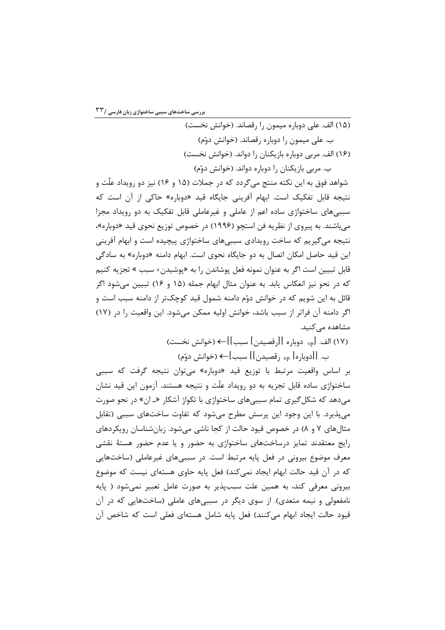بررسی ساختهای سببی ساختواژی زبان فارسی /۲۳

(١۵) الف. علي دوباره ميمون را رقصاند. (خوانش نخست) ب. علي ميمون را دوباره رقصاند. (خوانش دوّم) (۱۶) الف. مربی دوباره بازیکنان را دواند. (خوانش نخست) ب. مربي بازيکنان را دوباره دواند. (خوانش دوّم)

شواهد فوق به این نکته منتج میگردد که در جملات (۱۵ و ۱۶) نیز دو رویداد علّت و نتيجه قابل تفكيك است. ابهام آفريني جايگاه قيد «دوباره» حاكي از آن است كه سببیهای ساختواژی ساده اعم از عاملی و غیرعاملی قابل تفکیک به دو رویداد مجزا می باشند. به پیروی از نظریه فن استچو (۱۹۹۶) در خصوص توزیع نحوی قید «دوباره»، نتیجه می گیریم که ساخت رویدادی سببیهای ساختواژی پیچیده است و ابهام آفرینی این قید حاصل امکان اتصال به دو جایگاه نحوی است. ابهام دامنه «دوباره» به سادگی قابل تبيين است اگر به عنوان نمونه فعل پوشاندن را به «پوشيدن+ سبب » تجزيه كنيم که در نحو نیز انعکاس یابد. به عنوان مثال ابهام جمله (۱۵ و ۱۶) تبیین میشود اگر قائل به این شویم که در خوانش دوّم دامنه شمول قید کوچکتر از دامنه سبب است و اگر دامنه آن فراتر از سبب باشد، خوانش اولیه ممکن می شود. این واقعیت را در (۱۷) مشاهده مے کنید.

(١٧) الف. [<sub>vp</sub> دوباره [[رقصيدن] سبب]]← (خوانش نخست)

ب. [[دوباره[ vp] رقصيدن]] سبب]← (خوانش دوّم)

بر اساس واقعیت مرتبط با توزیع قید «دوباره» می توان نتیجه گرفت که سببی ساختواژی ساده قابل تجزیه به دو رویداد علّت و نتیجه هستند. آزمون این قید نشان می دهد که شکل گیری تمام سببی های ساختواژی با تکواژ آشکار «ـ ان» در نحو صورت می پذیرد. با این وجود این پرسش مطرح می شود که تفاوت ساختهای سببی (تقابل مثال های ۷ و ۸) در خصوص قیود حالت از کجا ناشی میشود. زبان شناسان رویکردهای رایج معتقدند تمایز درساختها*ی* ساختواژی به حضور و یا عدم حضور هستهٔ نقشی معرف موضوع بیرونی در فعل پایه مرتبط است. در سببیهای غیرعاملی (ساختهایی که در آن قید حالت ابهام ایجاد نمی کند) فعل پایه حاوی هستهای نیست که موضوع بیرونی معرفی کند، به همین علت سببپذیر به صورت عامل تعبیر نمیشود ( پایه نامفعولی و نیمه متعدی). از سوی دیگر در سببیهای عاملی (ساختهایی که در آن قيود حالت ايجاد ابهام مي كنند) فعل پايه شامل هستهاي فعلى است كه شاخص آن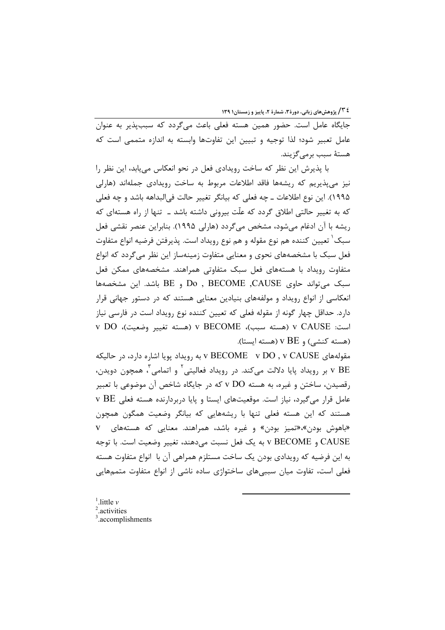٤ ٢ / پژوهش های زبانی، دورة ٣، شمارة ٢، پاییز و زمستان١ ١٣٩

جایگاه عامل است. حضور همین هسته فعلی باعث میگردد که سببیذیر به عنوان عامل تعبير شود؛ لذا توجيه و تبيين اين تفاوتها وابسته به اندازه متممى است كه هستهٔ سبب برمے گزیند.

با پذیرش این نظر که ساخت رویدادی فعل در نحو انعکاس می یابد، این نظر را نیز میپذیریم که ریشهها فاقد اطلاعات مربوط به ساخت رویدادی جملهاند (هارلی ١٩٩۵). این نوع اطلاعات ــ چه فعلی که بیانگر تغییر حالت فیالبداهه باشد و چه فعلی که به تغییر حالتی اطلاق گردد که علّت بیرونی داشته باشد ـ تنها از راه هستهای که ریشه با آن ادغام میشود، مشخص می گردد (هارلی ۱۹۹۵). بنابراین عنصر نقشی فعل سبک ٰ تعیین کننده هم نوع مقوله و هم نوع رویداد است. پذیرفتن فرضیه انواع متفاوت فعل سبک با مشخصههای نحوی و معنایی متفاوت زمینهساز این نظر میگردد که انواع متفاوت رویداد با هستههای فعل سبک متفاوتی همراهند. مشخصههای ممکن فعل سبک می تواند حاوی Do , BECOME ,CAUSE و BE باشد. این مشخصهها انعکاسی از انواع رویداد و مولفههای بنیادین معنایی هستند که در دستور جهانی قرار دارد. حداقل چهار گونه از مقوله فعلی که تعیین کننده نوع رویداد است در فارسی نیاز است: V CAUSE (هسته سبب)، V BECOME (هسته تغيير وضعيت)، V DO و (هسته کنشی) و V BE (هسته ایستا).

مقولههای V BECOME v DO , v CAUSE به رویداد پویا اشاره دارد، در حالیکه v BE بر رویداد پایا دلالت میکند. در رویداد فعالیتی ٔ و اتمامی ٔ همچون دویدن،  $\rm{v}\,\,BE$ رقصیدن، ساختن و غیره، به هسته v DO که در جایگاه شاخص آن موضوعی با تعبیر v BE مامل قرار میگیرد، نیاز است. موقعیتهای ایستا و پایا دربردارنده هسته فعلی هستند که این هسته فعلی تنها با ریشههایی که بیانگر وضعیت همگون همچون «باهوش بودن»، «تمیز بودن» و غیره باشد، همراهند. معنایی که هستههای V CAUSE و V BECOME به يک فعل نسبت مي دهند، تغيير وضعيت است. با توجه به این فرضیه که رویدادی بودن یک ساخت مستلزم همراهی آن با انواع متفاوت هسته فعلی است، تفاوت میان سببے های ساختواژی ساده ناشی از انواع متفاوت متممهایی

 $\frac{1}{2}$ . little v <sup>2</sup>.activities  $3$ . accomplishments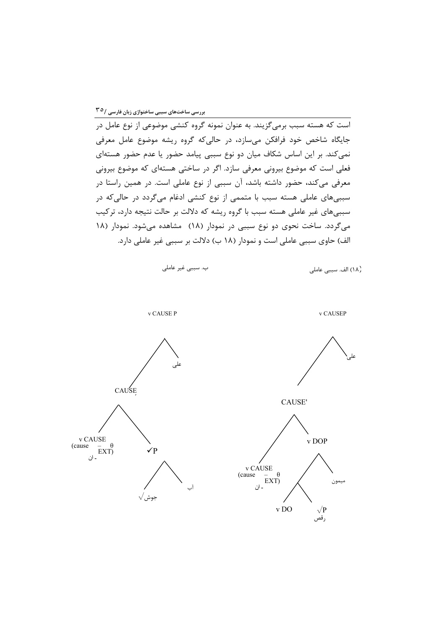جایگاه شاخص خود فرافکن میسازد، در حالیکه گروه ریشه موضوع عامل معرفی نمی کند. بر این اساس شکاف میان دو نوع سببی پیامد حضور یا عدم حضور هستهای فعلی است که موضوع بیرونی معرفی سازد. اگر در ساختی هستهای که موضوع بیرونی معرفی میکند، حضور داشته باشد، آن سببی از نوع عاملی است. در همین راستا در سببیهای عاملی هسته سبب با متممی از نوع کنشی ادغام میگردد در حالیکه در سببیهای غیر عاملی هسته سبب با گروه ریشه که دلالت بر حالت نتیجه دارد، ترکیب میگردد. ساخت نحوی دو نوع سببی در نمودار (۱۸) مشاهده می شود. نمودار (۱۸ الف) حاوي سببي عاملي است و نمودار (١٨ ب) دلالت بر سببي غير عاملي دارد.

(١٨) الف. سببي عاملي







$$
v\;\text{CAUSEP}
$$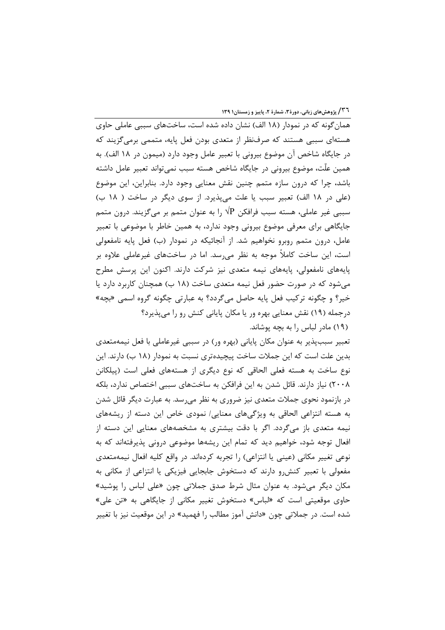<sup>3</sup>۳۱ / پژوهشهای زبانی، دورهٔ۳، شمارهٔ ۲، پاییز و زمستان۱۳۹

همان گونه که در نمودار (۱۸ الف) نشان داده شده است، ساختهای سببی عاملی حاوی هستهای سببی هستند که صرفنظر از متعدی بودن فعل پایه، متممی برمی گزیند که در جايگاه شاخص آن موضوع بيروني با تعبير عامل وجود دارد (ميمون در ١٨ الف). به همین علّت، موضوع بیرونی در جایگاه شاخص هسته سبب نمی تواند تعبیر عامل داشته باشد، چرا که درون سازه متمم چنین نقش معنایی وجود دارد. بنابراین، این موضوع (علی در ١٨ الف) تعبير سبب يا علت می پذيرد. از سوی ديگر در ساخت ( ١٨ ب) سببی غیر عاملی، هسته سبب فرافکن  $\sqrt{{\rm P}}$  را به عنوان متمم بر میگزیند. درون متمم جايگاهي براي معرفي موضوع بيروني وجود ندارد، به همين خاطر با موضوعي با تعبير عامل، درون متمم روبرو نخواهیم شد. از آنجائیکه در نمودار (ب) فعل پایه نامفعولی است، این ساخت کاملاً موجه به نظر میرسد. اما در ساختهای غیرعاملی علاوه بر پایههای نامفعولی، پایههای نیمه متعدی نیز شرکت دارند. اکنون این پرسش مطرح میشود که در صورت حضور فعل نیمه متعدی ساخت (۱۸ ب) همچنان کاربرد دارد یا خير؟ و چگونه تركيب فعل پايه حاصل مي گردد؟ به عبارتي چگونه گروه اسمي «بچه» درجمله (۱۹) نقش معنایی بهره ور یا مکان پایانی کنش رو را میپذیرد؟ (١٩) مادر لباس را به بچه پوشاند.

تعبیر سببپذیر به عنوان مکان پایانی (بهره ور) در سببی غیرعاملی با فعل نیمهمتعدی بدین علت است که این جملات ساخت پیچیدهتری نسبت به نمودار (۱۸ ب) دارند. این نوع ساخت به هسته فعلی الحاقی که نوع دیگری از هستههای فعلی است (پیلکانن ۲۰۰۸) نیاز دارند. قائل شدن به این فرافکن به ساختهای سببی اختصاص ندارد، بلکه در بازنمود نحوی جملات متعدی نیز ضروری به نظر می رسد. به عبارت دیگر قائل شدن به هسته انتزاعی الحاقی به ویژگیهای معنایی/ نمودی خاص این دسته از ریشههای نیمه متعدی باز میگردد. اگر با دقت بیشتری به مشخصههای معنایی این دسته از افعال توجه شود، خواهیم دید که تمام این ریشهها موضوعی درونی پذیرفتهاند که به نوعی تغییر مکانی (عینی یا انتزاعی) را تجربه کردهاند. در واقع کلیه افعال نیمهمتعدی مفعولی با تعبیر کنش و دارند که دستخوش جابجایی فیزیکی یا انتزاعی از مکانی به مکان دیگر میشود. به عنوان مثال شرط صدق جملاتی چون «علی لباس را پوشید» حاوی موقعیتی است که «لباس» دستخوش تغییر مکانی از جایگاهی به «تن علی» شده است. در جملاتی چون «دانش آموز مطالب را فهمید» در این موقعیت نیز با تغییر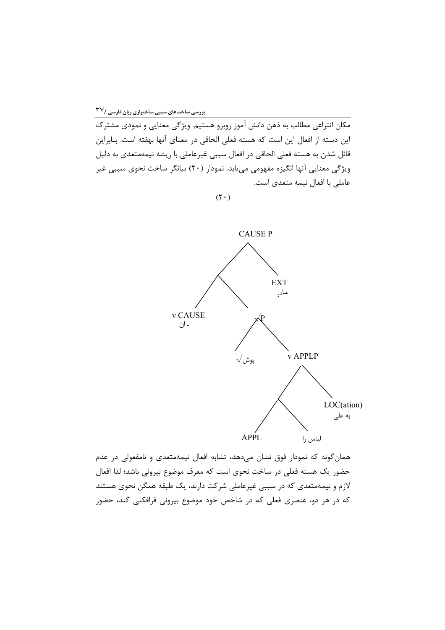۔<br>مکان انتزاعی مطالب به ذهن دانش آموز روبرو هستیم. ویژگی معنایی و نمودی مشترک این دسته از افعال این است که هسته فعلی الحاقی در معنای آنها نهفته است. بنابراین قائل شدن به هسته فعلی الحاقی در افعال سببی غیرعاملی با ریشه نیمهمتعدی به دلیل ویژگی معنایی آنها انگیزه مفهومی مییابد. نمودار (۲۰) بیانگر ساخت نحوی سببی غیر عاملی با افعال نیمه متعدی است.

 $(\mathbf{r} \cdot)$ 



همان گونه که نمودار فوق نشان میدهد، تشابه افعال نیمهمتعدی و نامفعولی در عدم حضور یک هسته فعلی در ساخت نحوی است که معرف موضوع بیرونی باشد؛ لذا افعال لازم و نیمهمتعدی که در سببی غیرعاملی شرکت دارند، یک طبقه همگن نحوی هستند که در هر دو، عنصری فعلی که در شاخص خود موضوع بیرونی فرافکنی کند، حضور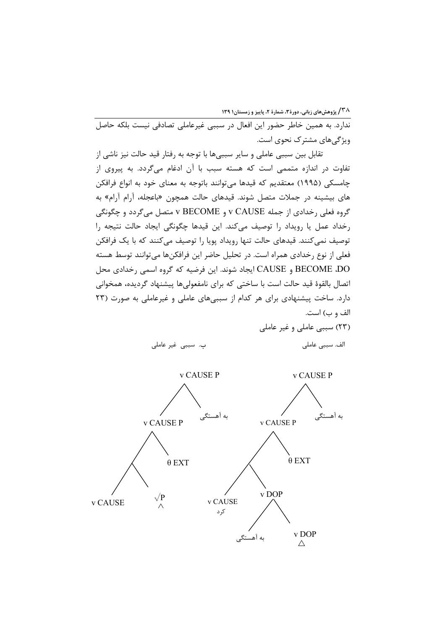/۳۸ پژوهش های زبانی، دورهٔ۳، شمارهٔ ۲، پاییز و زمستان۱۳۹

ندارد. به همین خاطر حضور این افعال در سببی غیرعاملی تصادفی نیست بلکه حاصل ویژگی های مشتر ک نحوی است.

تقابل بین سببی عاملی و سایر سببیها با توجه به رفتار قید حالت نیز ناشی از تفاوت در اندازه متممی است که هسته سبب با آن ادغام میگردد. به پیروی از چامسکی (۱۹۹۵) معتقدیم که قیدها میتوانند باتوجه به معنای خود به انواع فرافکن های بیشینه در جملات متصل شوند. قیدهای حالت همچون «باعجله، آرام آرام» به گروه فعلی رخدادی از جمله v CAUSE و v BECOME متصل میگردد و چگونگی رخداد عمل یا رویداد را توصیف میکند. این قیدها چگونگی ایجاد حالت نتیجه را توصیف نمی کنند. قیدهای حالت تنها رویداد پویا را توصیف می کنند که با یک فرافکن فعلی از نوع رخدادی همراه است. در تحلیل حاضر این فرافکنها میتوانند توسط هسته BECOME .DO و CAUSE ایجاد شوند. این فرضیه که گروه اسمی رخدادی محل اتصال بالقوهٔ قید حالت است با ساختی که برای نامفعولیها پیشنهاد گردیده، همخوانی دارد. ساخت پیشنهادی برای هر کدام از سببی های عاملی و غیرعاملی به صورت (۲۳ الف و ب) است.

(٢٣) سببي عاملي و غير عاملي

ب. سببی غیر عاملی

الف. سببي عاملي

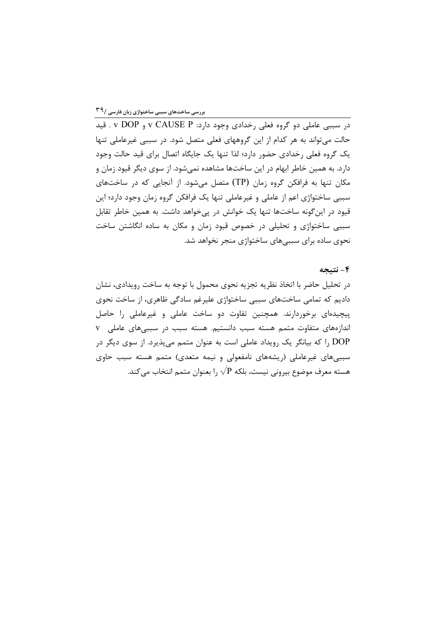.<br>در سببی عاملی دو گروه فعلی رخدادی وجود دارد: v CAUSE P و v DOP . قید حالت می تواند به هر کدام از این گروههای فعلی متصل شود. در سببی غیرعاملی تنها یک گروه فعلی رخدادی حضور دارد؛ لذا تنها یک جایگاه اتصال برای قید حالت وجود دارد. به همین خاطر ابهام در این ساختها مشاهده نمی شود. از سوی دیگر قیود زمان و مکان تنها به فرافکن گروه زمان (TP) متصل میشود. از آنجایی که در ساختهای سببی ساختواژی اعم از عاملی و غیرعاملی تنها یک فرافکن گروه زمان وجود دارد؛ این قیود در اینگونه ساختها تنها یک خوانش در پیخواهد داشت. به همین خاطر تقابل سببی ساختواژی و تحلیلی در خصوص قیود زمان و مکان به ساده انگاشتن ساخت نحوی ساده برای سببیهای ساختواژی منجر نخواهد شد.

## ۴- نتيجه

در تحلیل حاضر با اتخاذ نظریه تجزیه نحوی محمول با توجه به ساخت رویدادی، نشان دادیم که تمامی ساختهای سببی ساختواژی علیرغم سادگی ظاهری، از ساخت نحوی پیچیدهای برخوردارند. همچنین تفاوت دو ساخت عاملی و غیرعاملی را حاصل اندازههای متفاوت متمم هسته سبب دانستیم. هسته سبب در سببی های عاملی V DOP را که بیانگر یک رویداد عاملی است به عنوان متمم میپذیرد. از سوی دیگر در سببی های غیرعاملی (ریشههای نامفعولی و نیمه متعدی) متمم هسته سبب حاوی هسته معرف موضوع بيروني نيست، بلكه  $\sqrt{{\rm P}}$  را بعنوان متمم انتخاب مي كند.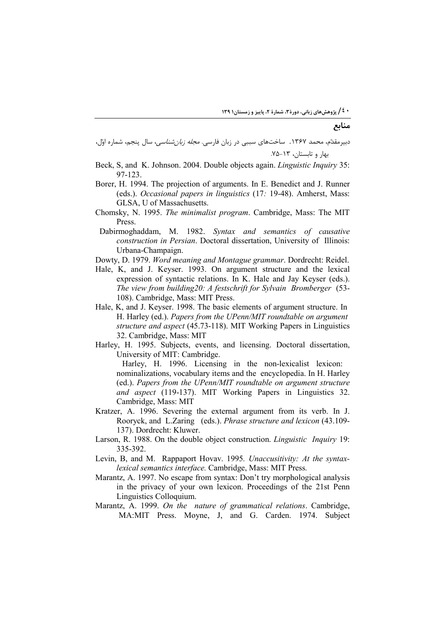## منابع

- دبیرمقدّم، محمد ۱۳۶۷. ساختهای سببی در زبان فارسی. *مجله زبانشناسی*، سال پنجم، شماره اوّل، .<br>مهار و تابستان، ١٣-٧۵.
- Beck, S, and K. Johnson. 2004. Double objects again. *Linguistic Inquiry* 35: 97-123.
- Borer, H. 1994. The projection of arguments. In E. Benedict and J. Runner (eds.). *Occasional papers in linguistics* (17*:* 19-48). Amherst, Mass: GLSA, U of Massachusetts.
- Chomsky, N. 1995. *The minimalist program*. Cambridge, Mass: The MIT Press.
- Dabirmoghaddam, M. 1982. *Syntax and semantics of causative construction in Persian*. Doctoral dissertation, University of Illinois: Urbana-Champaign.
- Dowty, D. 1979. *Word meaning and Montague grammar*. Dordrecht: Reidel.
- Hale, K, and J. Keyser. 1993. On argument structure and the lexical expression of syntactic relations. In K. Hale and Jay Keyser (eds.). *The view from building20: A festschrift for Sylvain Bromberger* (53- 108). Cambridge, Mass: MIT Press.
- Hale, K, and J. Keyser. 1998. The basic elements of argument structure. In H. Harley (ed.). *Papers from the UPenn/MIT roundtable on argument structure and aspect* (45.73-118). MIT Working Papers in Linguistics 32. Cambridge, Mass: MIT
- Harley, H. 1995. Subjects, events, and licensing. Doctoral dissertation, University of MIT: Cambridge.

Harley, H. 1996. Licensing in the non-lexicalist lexicon: nominalizations, vocabulary items and the encyclopedia. In H. Harley (ed.). *Papers from the UPenn/MIT roundtable on argument structure and aspect* (119-137). MIT Working Papers in Linguistics 32. Cambridge, Mass: MIT

- Kratzer, A. 1996. Severing the external argument from its verb. In J. Rooryck, and L.Zaring (eds.). *Phrase structure and lexicon* (43.109- 137). Dordrecht: Kluwer.
- Larson, R. 1988. On the double object construction. *Linguistic Inquiry* 19: 335-392.
- Levin, B, and M. Rappaport Hovav. 1995*. Unaccusitivity: At the syntaxlexical semantics interface.* Cambridge, Mass: MIT Press*.*
- Marantz, A. 1997. No escape from syntax: Don't try morphological analysis in the privacy of your own lexicon. Proceedings of the 21st Penn Linguistics Colloquium.
- Marantz, A. 1999. *On the nature of grammatical relations*. Cambridge, MA:MIT Press. Moyne, J, and G. Carden. 1974. Subject